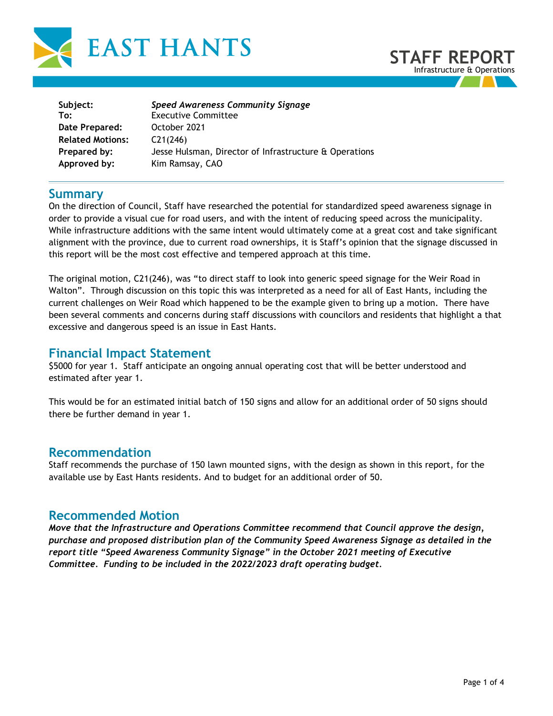



| Subject:                | Speed Awareness Community Signage                      |
|-------------------------|--------------------------------------------------------|
| To:                     | <b>Executive Committee</b>                             |
| Date Prepared:          | October 2021                                           |
| <b>Related Motions:</b> | C21(246)                                               |
| Prepared by:            | Jesse Hulsman, Director of Infrastructure & Operations |
| Approved by:            | Kim Ramsay, CAO                                        |
|                         |                                                        |

### **Summary**

On the direction of Council, Staff have researched the potential for standardized speed awareness signage in order to provide a visual cue for road users, and with the intent of reducing speed across the municipality. While infrastructure additions with the same intent would ultimately come at a great cost and take significant alignment with the province, due to current road ownerships, it is Staff's opinion that the signage discussed in this report will be the most cost effective and tempered approach at this time.

The original motion, C21(246), was "to direct staff to look into generic speed signage for the Weir Road in Walton". Through discussion on this topic this was interpreted as a need for all of East Hants, including the current challenges on Weir Road which happened to be the example given to bring up a motion. There have been several comments and concerns during staff discussions with councilors and residents that highlight a that excessive and dangerous speed is an issue in East Hants.

# **Financial Impact Statement**

\$5000 for year 1. Staff anticipate an ongoing annual operating cost that will be better understood and estimated after year 1.

This would be for an estimated initial batch of 150 signs and allow for an additional order of 50 signs should there be further demand in year 1.

### **Recommendation**

Staff recommends the purchase of 150 lawn mounted signs, with the design as shown in this report, for the available use by East Hants residents. And to budget for an additional order of 50.

## **Recommended Motion**

*Move that the Infrastructure and Operations Committee recommend that Council approve the design, purchase and proposed distribution plan of the Community Speed Awareness Signage as detailed in the report title "Speed Awareness Community Signage" in the October 2021 meeting of Executive Committee. Funding to be included in the 2022/2023 draft operating budget.*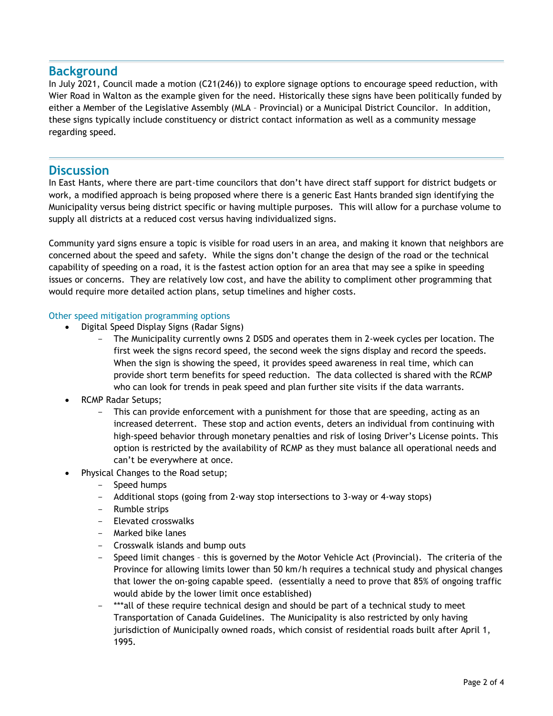# **Background**

In July 2021, Council made a motion (C21(246)) to explore signage options to encourage speed reduction, with Wier Road in Walton as the example given for the need. Historically these signs have been politically funded by either a Member of the Legislative Assembly (MLA – Provincial) or a Municipal District Councilor. In addition, these signs typically include constituency or district contact information as well as a community message regarding speed.

### **Discussion**

In East Hants, where there are part-time councilors that don't have direct staff support for district budgets or work, a modified approach is being proposed where there is a generic East Hants branded sign identifying the Municipality versus being district specific or having multiple purposes. This will allow for a purchase volume to supply all districts at a reduced cost versus having individualized signs.

Community yard signs ensure a topic is visible for road users in an area, and making it known that neighbors are concerned about the speed and safety. While the signs don't change the design of the road or the technical capability of speeding on a road, it is the fastest action option for an area that may see a spike in speeding issues or concerns. They are relatively low cost, and have the ability to compliment other programming that would require more detailed action plans, setup timelines and higher costs.

#### Other speed mitigation programming options

- Digital Speed Display Signs (Radar Signs)
	- The Municipality currently owns 2 DSDS and operates them in 2-week cycles per location. The first week the signs record speed, the second week the signs display and record the speeds. When the sign is showing the speed, it provides speed awareness in real time, which can provide short term benefits for speed reduction. The data collected is shared with the RCMP who can look for trends in peak speed and plan further site visits if the data warrants.
- RCMP Radar Setups;
	- This can provide enforcement with a punishment for those that are speeding, acting as an increased deterrent. These stop and action events, deters an individual from continuing with high-speed behavior through monetary penalties and risk of losing Driver's License points. This option is restricted by the availability of RCMP as they must balance all operational needs and can't be everywhere at once.
- Physical Changes to the Road setup;
	- Speed humps
	- Additional stops (going from 2-way stop intersections to 3-way or 4-way stops)
	- Rumble strips
	- Elevated crosswalks
	- Marked bike lanes
	- Crosswalk islands and bump outs
	- Speed limit changes this is governed by the Motor Vehicle Act (Provincial). The criteria of the Province for allowing limits lower than 50 km/h requires a technical study and physical changes that lower the on-going capable speed. (essentially a need to prove that 85% of ongoing traffic would abide by the lower limit once established)
	- \*\*\*all of these require technical design and should be part of a technical study to meet Transportation of Canada Guidelines. The Municipality is also restricted by only having jurisdiction of Municipally owned roads, which consist of residential roads built after April 1, 1995.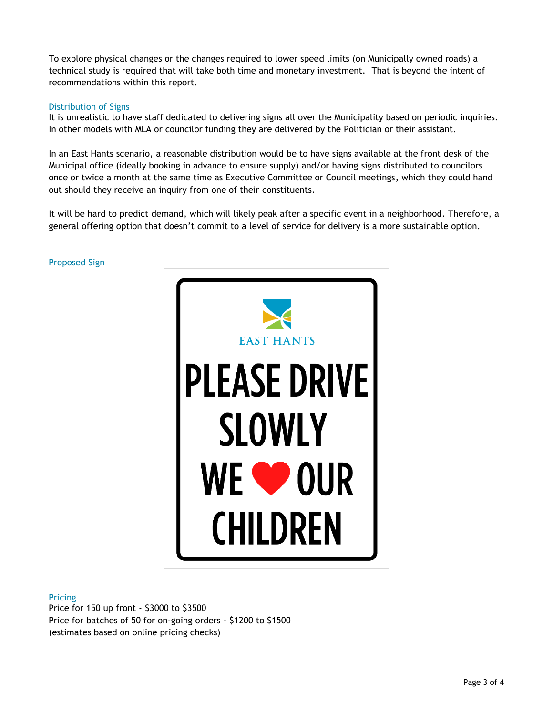To explore physical changes or the changes required to lower speed limits (on Municipally owned roads) a technical study is required that will take both time and monetary investment. That is beyond the intent of recommendations within this report.

#### Distribution of Signs

It is unrealistic to have staff dedicated to delivering signs all over the Municipality based on periodic inquiries. In other models with MLA or councilor funding they are delivered by the Politician or their assistant.

In an East Hants scenario, a reasonable distribution would be to have signs available at the front desk of the Municipal office (ideally booking in advance to ensure supply) and/or having signs distributed to councilors once or twice a month at the same time as Executive Committee or Council meetings, which they could hand out should they receive an inquiry from one of their constituents.

It will be hard to predict demand, which will likely peak after a specific event in a neighborhood. Therefore, a general offering option that doesn't commit to a level of service for delivery is a more sustainable option.



#### Proposed Sign

#### Pricing

Price for 150 up front - \$3000 to \$3500 Price for batches of 50 for on-going orders - \$1200 to \$1500 (estimates based on online pricing checks)